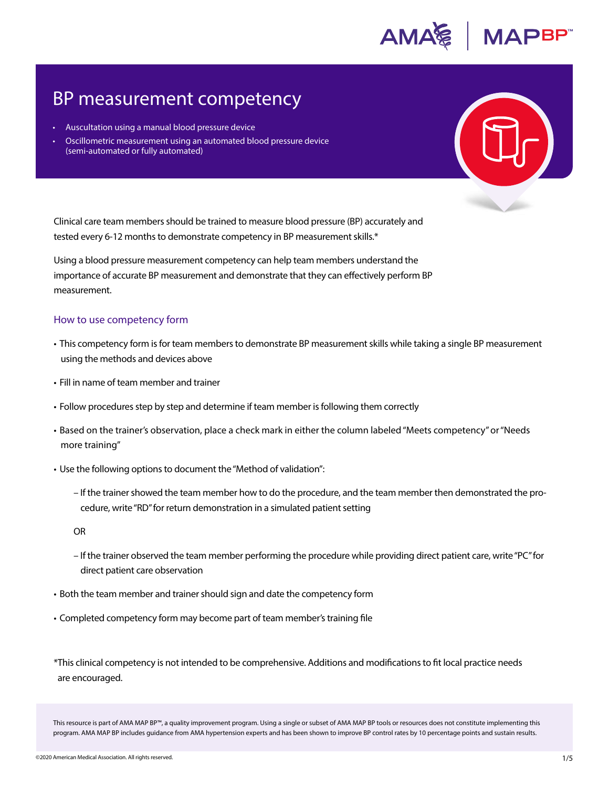

# BP measurement competency

- Auscultation using a manual blood pressure device
- Oscillometric measurement using an automated blood pressure device (semi-automated or fully automated)

Clinical care team members should be trained to measure blood pressure (BP) accurately and tested every 6-12 months to demonstrate competency in BP measurement skills.\*

Using a blood pressure measurement competency can help team members understand the importance of accurate BP measurement and demonstrate that they can effectively perform BP measurement.

#### How to use competency form

- This competency form is for team members to demonstrate BP measurement skills while taking a single BP measurement using the methods and devices above
- Fill in name of team member and trainer
- Follow procedures step by step and determine if team member is following them correctly
- Based on the trainer's observation, place a check mark in either the column labeled "Meets competency" or "Needs more training"
- Use the following options to document the "Method of validation":
	- If the trainer showed the team member how to do the procedure, and the team member then demonstrated the procedure, write "RD" for return demonstration in a simulated patient setting

OR

- If the trainer observed the team member performing the procedure while providing direct patient care, write "PC" for direct patient care observation
- Both the team member and trainer should sign and date the competency form
- Completed competency form may become part of team member's training file

\*This clinical competency is not intended to be comprehensive. Additions and modifications to fit local practice needs are encouraged.

This resource is part of AMA MAP BP™, a quality improvement program. Using a single or subset of AMA MAP BP tools or resources does not constitute implementing this program. AMA MAP BP includes guidance from AMA hypertension experts and has been shown to improve BP control rates by 10 percentage points and sustain results.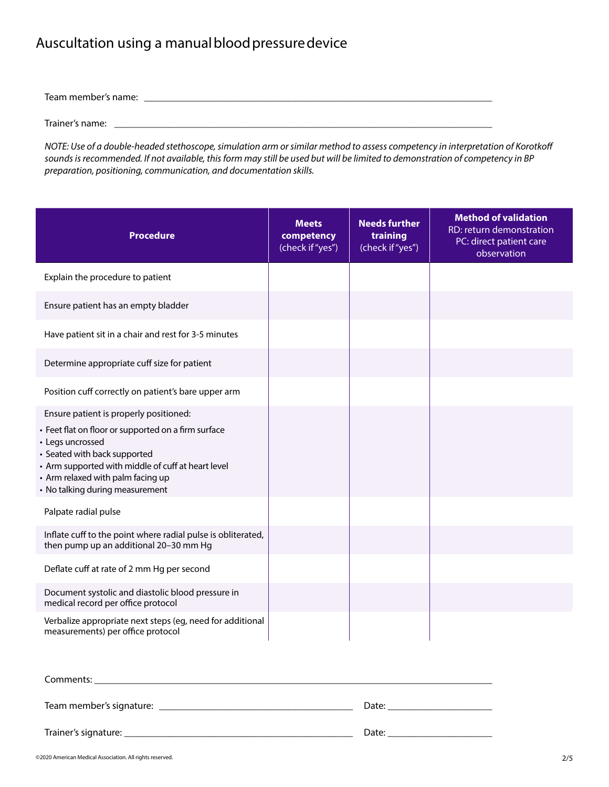## Auscultation using a manual blood pressure device

Team member's name: \_\_\_\_\_\_\_\_\_\_\_\_\_\_\_\_\_\_\_\_\_\_\_\_\_\_\_\_\_\_\_\_\_\_\_\_\_\_\_\_\_\_\_\_\_\_\_\_\_\_\_\_\_\_\_\_\_\_\_\_\_\_\_\_\_\_\_\_\_\_

Trainer's name: \_

*NOTE: Use of a double-headed stethoscope, simulation arm or similar method to assess competency in interpretation of Korotkoff sounds is recommended. If not available, this form may still be used but will be limited to demonstration of competency in BP preparation, positioning, communication, and documentation skills.* 

| <b>Procedure</b>                                                                                                                                                                                                                      | <b>Meets</b><br>competency<br>(check if "yes") | <b>Needs further</b><br>training<br>(check if "yes") | <b>Method of validation</b><br>RD: return demonstration<br>PC: direct patient care<br>observation |
|---------------------------------------------------------------------------------------------------------------------------------------------------------------------------------------------------------------------------------------|------------------------------------------------|------------------------------------------------------|---------------------------------------------------------------------------------------------------|
| Explain the procedure to patient                                                                                                                                                                                                      |                                                |                                                      |                                                                                                   |
| Ensure patient has an empty bladder                                                                                                                                                                                                   |                                                |                                                      |                                                                                                   |
| Have patient sit in a chair and rest for 3-5 minutes                                                                                                                                                                                  |                                                |                                                      |                                                                                                   |
| Determine appropriate cuff size for patient                                                                                                                                                                                           |                                                |                                                      |                                                                                                   |
| Position cuff correctly on patient's bare upper arm                                                                                                                                                                                   |                                                |                                                      |                                                                                                   |
| Ensure patient is properly positioned:                                                                                                                                                                                                |                                                |                                                      |                                                                                                   |
| • Feet flat on floor or supported on a firm surface<br>• Legs uncrossed<br>• Seated with back supported<br>• Arm supported with middle of cuff at heart level<br>• Arm relaxed with palm facing up<br>• No talking during measurement |                                                |                                                      |                                                                                                   |
| Palpate radial pulse                                                                                                                                                                                                                  |                                                |                                                      |                                                                                                   |
| Inflate cuff to the point where radial pulse is obliterated,<br>then pump up an additional 20-30 mm Hg                                                                                                                                |                                                |                                                      |                                                                                                   |
| Deflate cuff at rate of 2 mm Hg per second                                                                                                                                                                                            |                                                |                                                      |                                                                                                   |
| Document systolic and diastolic blood pressure in<br>medical record per office protocol                                                                                                                                               |                                                |                                                      |                                                                                                   |
| Verbalize appropriate next steps (eg, need for additional<br>measurements) per office protocol                                                                                                                                        |                                                |                                                      |                                                                                                   |

| Comments:                |       |
|--------------------------|-------|
| Team member's signature: | Date: |
|                          | Date: |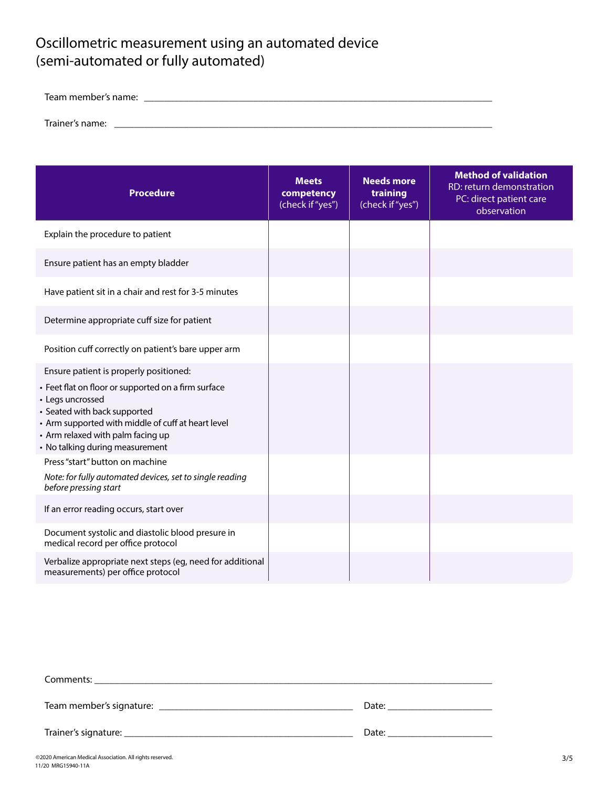## Oscillometric measurement using an automated device (semi-automated or fully automated)

Team member's name: \_\_\_\_\_\_\_\_\_\_\_\_\_\_\_\_\_\_\_\_\_\_\_\_\_\_\_\_\_\_\_\_\_\_\_\_\_\_\_\_\_\_\_\_\_\_\_\_\_\_\_\_\_\_\_\_\_\_\_\_\_\_\_\_\_\_\_\_\_\_

Trainer's name: \_\_\_\_\_\_\_\_\_\_\_\_\_\_\_\_\_\_\_\_\_\_\_\_\_\_\_\_\_\_\_\_\_\_\_\_\_\_\_\_\_\_\_\_\_\_\_\_\_\_\_\_\_\_\_\_\_\_\_\_\_\_\_\_\_\_\_\_\_\_\_\_\_\_\_\_

| <b>Procedure</b>                                                                                                                                                                                                                      | <b>Meets</b><br>competency<br>(check if "yes") | <b>Needs more</b><br>training<br>(check if "yes") | <b>Method of validation</b><br>RD: return demonstration<br>PC: direct patient care<br>observation |
|---------------------------------------------------------------------------------------------------------------------------------------------------------------------------------------------------------------------------------------|------------------------------------------------|---------------------------------------------------|---------------------------------------------------------------------------------------------------|
| Explain the procedure to patient                                                                                                                                                                                                      |                                                |                                                   |                                                                                                   |
| Ensure patient has an empty bladder                                                                                                                                                                                                   |                                                |                                                   |                                                                                                   |
| Have patient sit in a chair and rest for 3-5 minutes                                                                                                                                                                                  |                                                |                                                   |                                                                                                   |
| Determine appropriate cuff size for patient                                                                                                                                                                                           |                                                |                                                   |                                                                                                   |
| Position cuff correctly on patient's bare upper arm                                                                                                                                                                                   |                                                |                                                   |                                                                                                   |
| Ensure patient is properly positioned:                                                                                                                                                                                                |                                                |                                                   |                                                                                                   |
| • Feet flat on floor or supported on a firm surface<br>• Legs uncrossed<br>• Seated with back supported<br>• Arm supported with middle of cuff at heart level<br>• Arm relaxed with palm facing up<br>• No talking during measurement |                                                |                                                   |                                                                                                   |
| Press "start" button on machine                                                                                                                                                                                                       |                                                |                                                   |                                                                                                   |
| Note: for fully automated devices, set to single reading<br>before pressing start                                                                                                                                                     |                                                |                                                   |                                                                                                   |
| If an error reading occurs, start over                                                                                                                                                                                                |                                                |                                                   |                                                                                                   |
| Document systolic and diastolic blood presure in<br>medical record per office protocol                                                                                                                                                |                                                |                                                   |                                                                                                   |
| Verbalize appropriate next steps (eg, need for additional<br>measurements) per office protocol                                                                                                                                        |                                                |                                                   |                                                                                                   |

|                        | Date: |
|------------------------|-------|
| Trainer's signature: _ | Date: |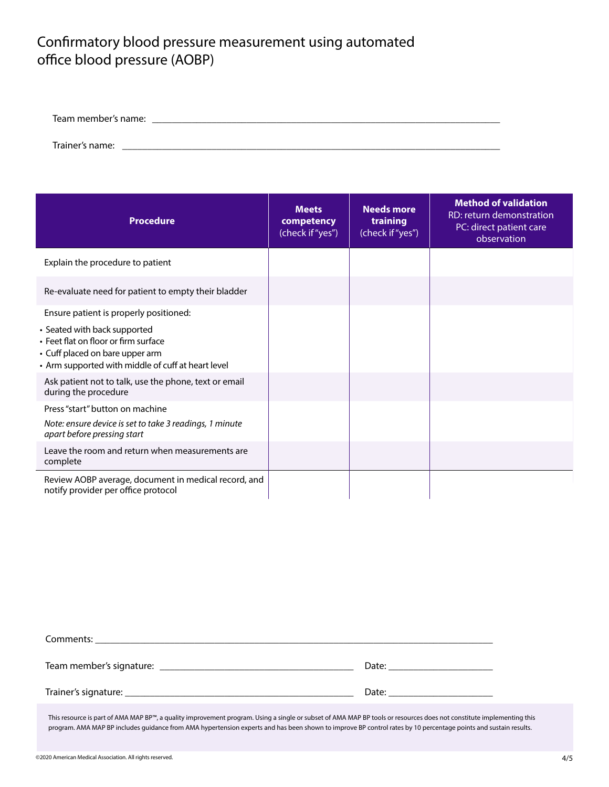### Confirmatory blood pressure measurement using automated office blood pressure (AOBP)

| n⇔r |  |
|-----|--|
|     |  |

Trainer's name:

| <b>Procedure</b>                                                                                                                                              | <b>Meets</b><br>competency<br>(check if "yes") | <b>Needs more</b><br>training<br>(check if "yes") | <b>Method of validation</b><br>RD: return demonstration<br>PC: direct patient care<br>observation |
|---------------------------------------------------------------------------------------------------------------------------------------------------------------|------------------------------------------------|---------------------------------------------------|---------------------------------------------------------------------------------------------------|
| Explain the procedure to patient                                                                                                                              |                                                |                                                   |                                                                                                   |
| Re-evaluate need for patient to empty their bladder                                                                                                           |                                                |                                                   |                                                                                                   |
| Ensure patient is properly positioned:                                                                                                                        |                                                |                                                   |                                                                                                   |
| • Seated with back supported<br>• Feet flat on floor or firm surface<br>• Cuff placed on bare upper arm<br>• Arm supported with middle of cuff at heart level |                                                |                                                   |                                                                                                   |
| Ask patient not to talk, use the phone, text or email<br>during the procedure                                                                                 |                                                |                                                   |                                                                                                   |
| Press "start" button on machine                                                                                                                               |                                                |                                                   |                                                                                                   |
| Note: ensure device is set to take 3 readings, 1 minute<br>apart before pressing start                                                                        |                                                |                                                   |                                                                                                   |
| Leave the room and return when measurements are<br>complete                                                                                                   |                                                |                                                   |                                                                                                   |
| Review AOBP average, document in medical record, and<br>notify provider per office protocol                                                                   |                                                |                                                   |                                                                                                   |

| Comments: |       |
|-----------|-------|
|           | Date: |
|           | Date: |

This resource is part of AMA MAP BP™, a quality improvement program. Using a single or subset of AMA MAP BP tools or resources does not constitute implementing this program. AMA MAP BP includes guidance from AMA hypertension experts and has been shown to improve BP control rates by 10 percentage points and sustain results.